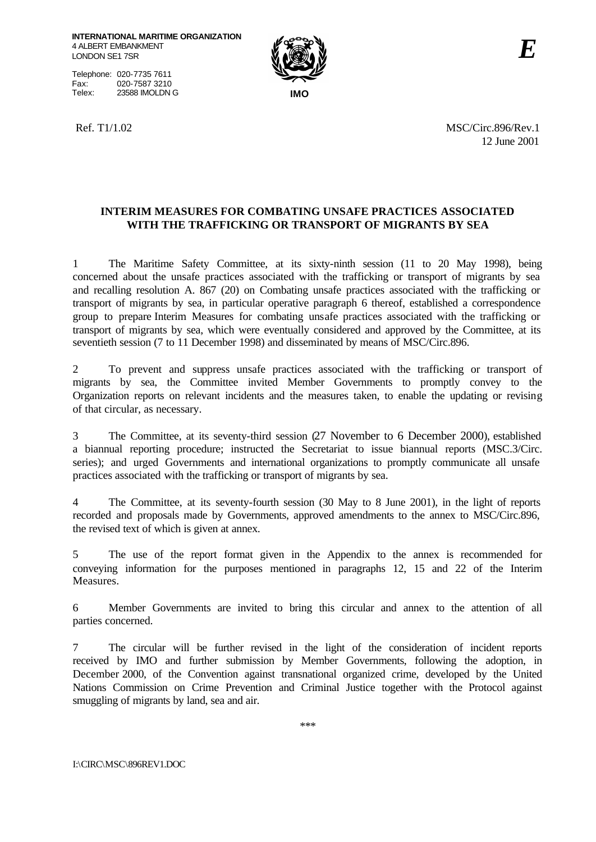Telephone: 020-7735 7611 Fax: 020-7587 3210<br>Telex: 23588 IMOLDN Telex: 23588 IMOLDN G **IMO**



Ref. T1/1.02 MSC/Circ.896/Rev.1 12 June 2001

# **INTERIM MEASURES FOR COMBATING UNSAFE PRACTICES ASSOCIATED WITH THE TRAFFICKING OR TRANSPORT OF MIGRANTS BY SEA**

1 The Maritime Safety Committee, at its sixty-ninth session (11 to 20 May 1998), being concerned about the unsafe practices associated with the trafficking or transport of migrants by sea and recalling resolution A. 867 (20) on Combating unsafe practices associated with the trafficking or transport of migrants by sea, in particular operative paragraph 6 thereof, established a correspondence group to prepare Interim Measures for combating unsafe practices associated with the trafficking or transport of migrants by sea, which were eventually considered and approved by the Committee, at its seventieth session (7 to 11 December 1998) and disseminated by means of MSC/Circ.896.

2 To prevent and suppress unsafe practices associated with the trafficking or transport of migrants by sea, the Committee invited Member Governments to promptly convey to the Organization reports on relevant incidents and the measures taken, to enable the updating or revising of that circular, as necessary.

3 The Committee, at its seventy-third session (27 November to 6 December 2000), established a biannual reporting procedure; instructed the Secretariat to issue biannual reports (MSC.3/Circ. series); and urged Governments and international organizations to promptly communicate all unsafe practices associated with the trafficking or transport of migrants by sea.

4 The Committee, at its seventy-fourth session (30 May to 8 June 2001), in the light of reports recorded and proposals made by Governments, approved amendments to the annex to MSC/Circ.896, the revised text of which is given at annex.

5 The use of the report format given in the Appendix to the annex is recommended for conveying information for the purposes mentioned in paragraphs 12, 15 and 22 of the Interim Measures.

6 Member Governments are invited to bring this circular and annex to the attention of all parties concerned.

7 The circular will be further revised in the light of the consideration of incident reports received by IMO and further submission by Member Governments, following the adoption, in December 2000, of the Convention against transnational organized crime, developed by the United Nations Commission on Crime Prevention and Criminal Justice together with the Protocol against smuggling of migrants by land, sea and air.

\*\*\*

I:\CIRC\MSC\896REV1.DOC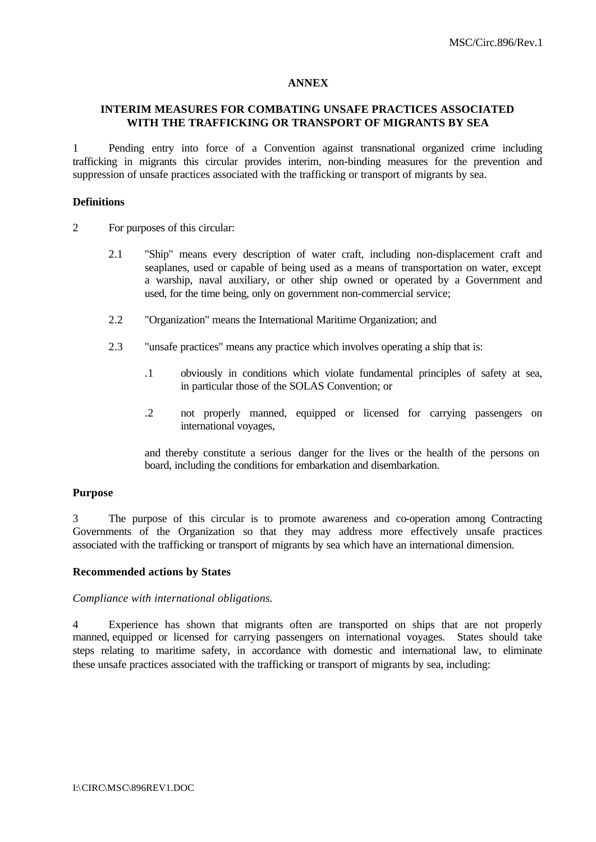## **ANNEX**

## **INTERIM MEASURES FOR COMBATING UNSAFE PRACTICES ASSOCIATED WITH THE TRAFFICKING OR TRANSPORT OF MIGRANTS BY SEA**

1 Pending entry into force of a Convention against transnational organized crime including trafficking in migrants this circular provides interim, non-binding measures for the prevention and suppression of unsafe practices associated with the trafficking or transport of migrants by sea.

### **Definitions**

- 2 For purposes of this circular:
	- 2.1 "Ship" means every description of water craft, including non-displacement craft and seaplanes, used or capable of being used as a means of transportation on water, except a warship, naval auxiliary, or other ship owned or operated by a Government and used, for the time being, only on government non-commercial service;
	- 2.2 "Organization" means the International Maritime Organization; and
	- 2.3 "unsafe practices" means any practice which involves operating a ship that is:
		- .1 obviously in conditions which violate fundamental principles of safety at sea, in particular those of the SOLAS Convention; or
		- .2 not properly manned, equipped or licensed for carrying passengers on international voyages,

and thereby constitute a serious danger for the lives or the health of the persons on board, including the conditions for embarkation and disembarkation.

### **Purpose**

3 The purpose of this circular is to promote awareness and co-operation among Contracting Governments of the Organization so that they may address more effectively unsafe practices associated with the trafficking or transport of migrants by sea which have an international dimension.

### **Recommended actions by States**

#### *Compliance with international obligations.*

4 Experience has shown that migrants often are transported on ships that are not properly manned, equipped or licensed for carrying passengers on international voyages. States should take steps relating to maritime safety, in accordance with domestic and international law, to eliminate these unsafe practices associated with the trafficking or transport of migrants by sea, including: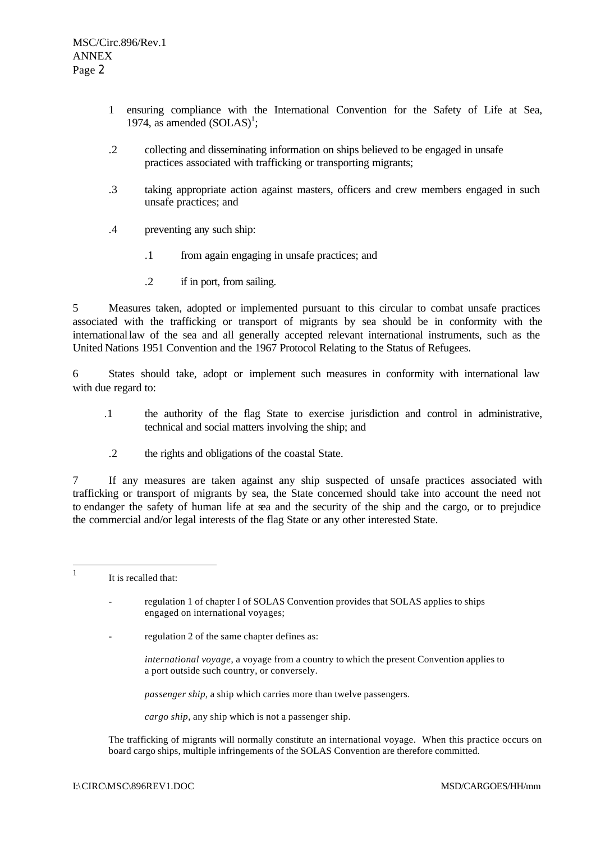- 1 ensuring compliance with the International Convention for the Safety of Life at Sea, 1974, as amended  $(SOLAS)^1$ ;
- .2 collecting and disseminating information on ships believed to be engaged in unsafe practices associated with trafficking or transporting migrants;
- .3 taking appropriate action against masters, officers and crew members engaged in such unsafe practices; and
- .4 preventing any such ship:
	- .1 from again engaging in unsafe practices; and
	- .2 if in port, from sailing.

5 Measures taken, adopted or implemented pursuant to this circular to combat unsafe practices associated with the trafficking or transport of migrants by sea should be in conformity with the internationallaw of the sea and all generally accepted relevant international instruments, such as the United Nations 1951 Convention and the 1967 Protocol Relating to the Status of Refugees.

6 States should take, adopt or implement such measures in conformity with international law with due regard to:

- .1 the authority of the flag State to exercise jurisdiction and control in administrative, technical and social matters involving the ship; and
- .2 the rights and obligations of the coastal State.

7 If any measures are taken against any ship suspected of unsafe practices associated with trafficking or transport of migrants by sea, the State concerned should take into account the need not to endanger the safety of human life at sea and the security of the ship and the cargo, or to prejudice the commercial and/or legal interests of the flag State or any other interested State.

 $\frac{1}{1}$ It is recalled that:

> regulation 1 of chapter I of SOLAS Convention provides that SOLAS applies to ships engaged on international voyages;

- regulation 2 of the same chapter defines as:
	- *international voyage*, a voyage from a country to which the present Convention applies to a port outside such country, or conversely.

*passenger ship*, a ship which carries more than twelve passengers.

*cargo ship*, any ship which is not a passenger ship.

The trafficking of migrants will normally constitute an international voyage. When this practice occurs on board cargo ships, multiple infringements of the SOLAS Convention are therefore committed.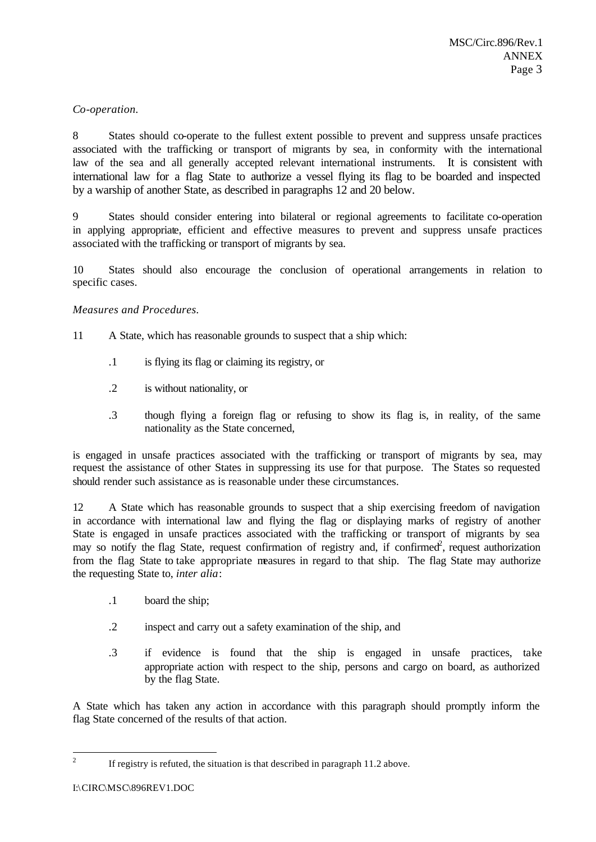## *Co-operation.*

8 States should co-operate to the fullest extent possible to prevent and suppress unsafe practices associated with the trafficking or transport of migrants by sea, in conformity with the international law of the sea and all generally accepted relevant international instruments. It is consistent with international law for a flag State to authorize a vessel flying its flag to be boarded and inspected by a warship of another State, as described in paragraphs 12 and 20 below.

9 States should consider entering into bilateral or regional agreements to facilitate co-operation in applying appropriate, efficient and effective measures to prevent and suppress unsafe practices associated with the trafficking or transport of migrants by sea.

10 States should also encourage the conclusion of operational arrangements in relation to specific cases.

## *Measures and Procedures.*

- 11 A State, which has reasonable grounds to suspect that a ship which:
	- .1 is flying its flag or claiming its registry, or
	- .2 is without nationality, or
	- .3 though flying a foreign flag or refusing to show its flag is, in reality, of the same nationality as the State concerned,

is engaged in unsafe practices associated with the trafficking or transport of migrants by sea, may request the assistance of other States in suppressing its use for that purpose. The States so requested should render such assistance as is reasonable under these circumstances.

12 A State which has reasonable grounds to suspect that a ship exercising freedom of navigation in accordance with international law and flying the flag or displaying marks of registry of another State is engaged in unsafe practices associated with the trafficking or transport of migrants by sea may so notify the flag State, request confirmation of registry and, if confirmed<sup>2</sup>, request authorization from the flag State to take appropriate measures in regard to that ship. The flag State may authorize the requesting State to, *inter alia*:

- .1 board the ship;
- .2 inspect and carry out a safety examination of the ship, and
- .3 if evidence is found that the ship is engaged in unsafe practices, take appropriate action with respect to the ship, persons and cargo on board, as authorized by the flag State.

A State which has taken any action in accordance with this paragraph should promptly inform the flag State concerned of the results of that action.

 $\frac{1}{2}$ If registry is refuted, the situation is that described in paragraph 11.2 above.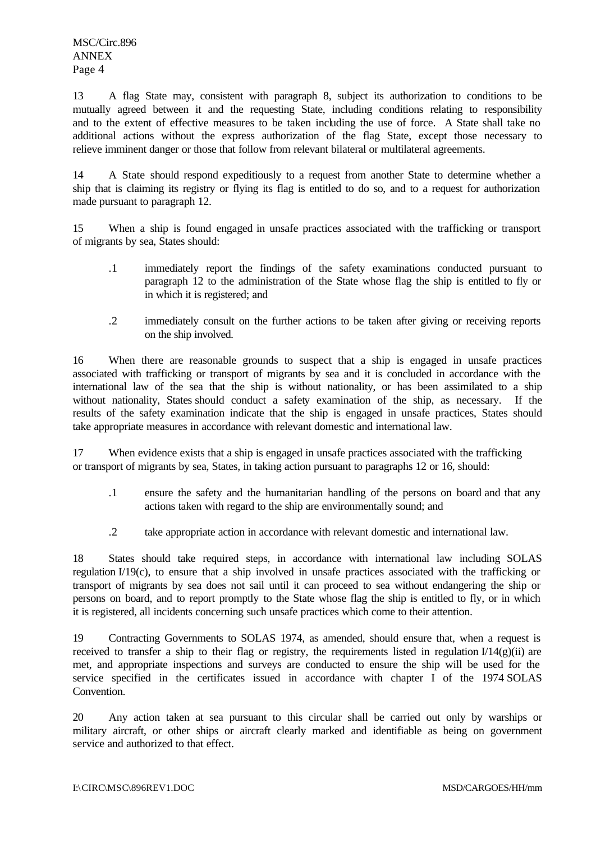13 A flag State may, consistent with paragraph 8, subject its authorization to conditions to be mutually agreed between it and the requesting State, including conditions relating to responsibility and to the extent of effective measures to be taken including the use of force.A State shall take no additional actions without the express authorization of the flag State, except those necessary to relieve imminent danger or those that follow from relevant bilateral or multilateral agreements.

14 A State should respond expeditiously to a request from another State to determine whether a ship that is claiming its registry or flying its flag is entitled to do so, and to a request for authorization made pursuant to paragraph 12.

15 When a ship is found engaged in unsafe practices associated with the trafficking or transport of migrants by sea, States should:

- .1 immediately report the findings of the safety examinations conducted pursuant to paragraph 12 to the administration of the State whose flag the ship is entitled to fly or in which it is registered; and
- .2 immediately consult on the further actions to be taken after giving or receiving reports on the ship involved.

16 When there are reasonable grounds to suspect that a ship is engaged in unsafe practices associated with trafficking or transport of migrants by sea and it is concluded in accordance with the international law of the sea that the ship is without nationality, or has been assimilated to a ship without nationality, States should conduct a safety examination of the ship, as necessary. If the results of the safety examination indicate that the ship is engaged in unsafe practices, States should take appropriate measures in accordance with relevant domestic and international law.

17 When evidence exists that a ship is engaged in unsafe practices associated with the trafficking or transport of migrants by sea, States, in taking action pursuant to paragraphs 12 or 16, should:

- .1 ensure the safety and the humanitarian handling of the persons on board and that any actions taken with regard to the ship are environmentally sound; and
- .2 take appropriate action in accordance with relevant domestic and international law.

18 States should take required steps, in accordance with international law including SOLAS regulation I/19(c), to ensure that a ship involved in unsafe practices associated with the trafficking or transport of migrants by sea does not sail until it can proceed to sea without endangering the ship or persons on board, and to report promptly to the State whose flag the ship is entitled to fly, or in which it is registered, all incidents concerning such unsafe practices which come to their attention.

19 Contracting Governments to SOLAS 1974, as amended, should ensure that, when a request is received to transfer a ship to their flag or registry, the requirements listed in regulation  $I/14(g)(ii)$  are met, and appropriate inspections and surveys are conducted to ensure the ship will be used for the service specified in the certificates issued in accordance with chapter I of the 1974 SOLAS Convention.

20 Any action taken at sea pursuant to this circular shall be carried out only by warships or military aircraft, or other ships or aircraft clearly marked and identifiable as being on government service and authorized to that effect.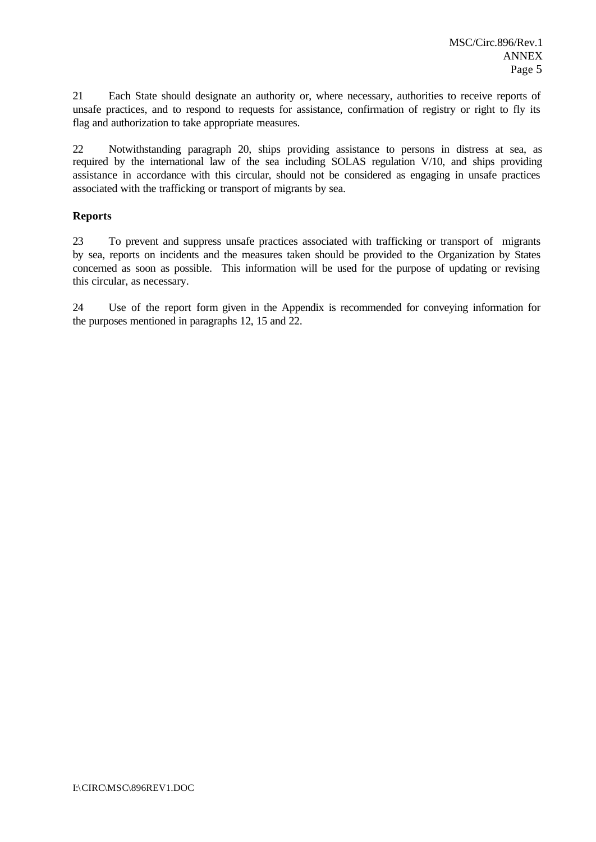21 Each State should designate an authority or, where necessary, authorities to receive reports of unsafe practices, and to respond to requests for assistance, confirmation of registry or right to fly its flag and authorization to take appropriate measures.

22 Notwithstanding paragraph 20, ships providing assistance to persons in distress at sea, as required by the international law of the sea including SOLAS regulation V/10, and ships providing assistance in accordance with this circular, should not be considered as engaging in unsafe practices associated with the trafficking or transport of migrants by sea.

# **Reports**

23 To prevent and suppress unsafe practices associated with trafficking or transport of migrants by sea, reports on incidents and the measures taken should be provided to the Organization by States concerned as soon as possible. This information will be used for the purpose of updating or revising this circular, as necessary.

24 Use of the report form given in the Appendix is recommended for conveying information for the purposes mentioned in paragraphs 12, 15 and 22.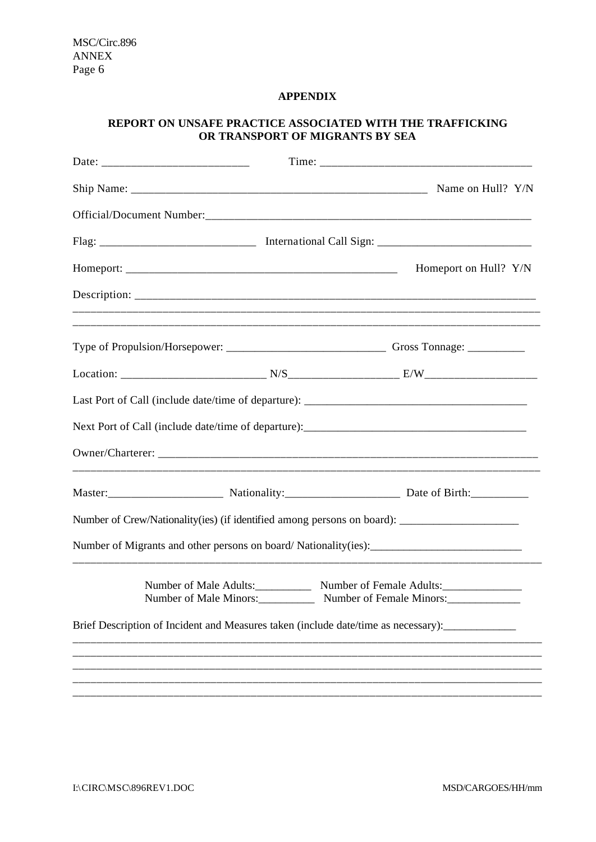## **APPENDIX**

# **REPORT ON UNSAFE PRACTICE ASSOCIATED WITH THE TRAFFICKING OR TRANSPORT OF MIGRANTS BY SEA**

|                                                                                                     |  | Name on Hull? Y/N        |
|-----------------------------------------------------------------------------------------------------|--|--------------------------|
|                                                                                                     |  |                          |
|                                                                                                     |  |                          |
|                                                                                                     |  | Homeport on Hull? Y/N    |
|                                                                                                     |  |                          |
|                                                                                                     |  |                          |
|                                                                                                     |  |                          |
|                                                                                                     |  |                          |
|                                                                                                     |  |                          |
|                                                                                                     |  |                          |
|                                                                                                     |  |                          |
| Number of Crew/Nationality(ies) (if identified among persons on board): ___________________________ |  |                          |
|                                                                                                     |  |                          |
| Number of Male Minors:                                                                              |  | Number of Female Minors: |
| Brief Description of Incident and Measures taken (include date/time as necessary):                  |  |                          |
|                                                                                                     |  |                          |
|                                                                                                     |  |                          |
|                                                                                                     |  |                          |